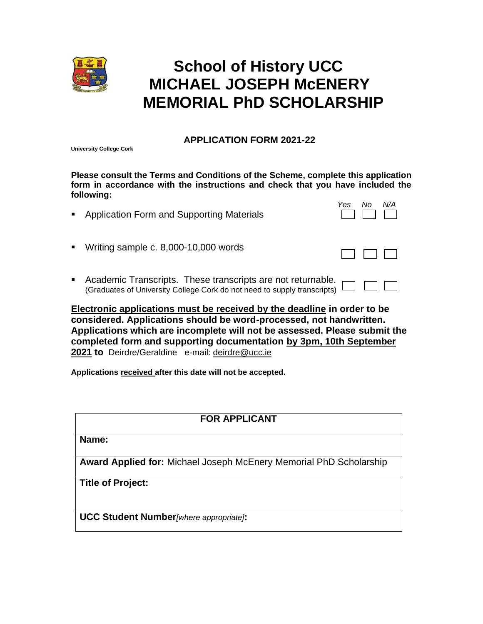

# **School of History UCC MICHAEL JOSEPH McENERY MEMORIAL PhD SCHOLARSHIP**

### **APPLICATION FORM 2021-22**

**University College Cork**

**Please consult the Terms and Conditions of the Scheme, complete this application form in accordance with the instructions and check that you have included the following:**

■ Application Form and Supporting Materials

| Yes | Nο | N/A |
|-----|----|-----|
|     |    |     |

- Writing sample c. 8,000-10,000 words
- Academic Transcripts. These transcripts are not returnable. (Graduates of University College Cork do not need to supply transcripts)

**Electronic applications must be received by the deadline in order to be considered. Applications should be word-processed, not handwritten. Applications which are incomplete will not be assessed. Please submit the completed form and supporting documentation by 3pm, 10th September 2021 to** Deirdre/Geraldine e-mail: [deirdre@ucc.ie](mailto:deirdre@ucc.ie)

**Applications received after this date will not be accepted.** 

## **FOR APPLICANT**

**Name:**

**Award Applied for:** Michael Joseph McEnery Memorial PhD Scholarship

**Title of Project:**

**UCC Student Number***[where appropriate]***:**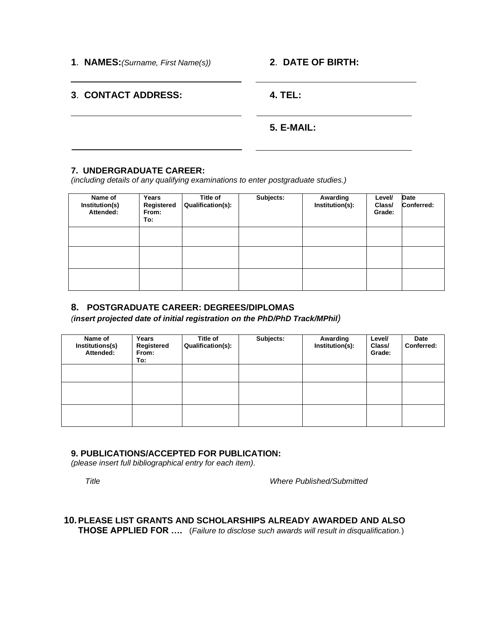**1**. **NAMES:***(Surname, First Name(s))* **2**. **DATE OF BIRTH:**

### **3**. **CONTACT ADDRESS: 4. TEL:**

### **5. E-MAIL:**

### **7. UNDERGRADUATE CAREER:**

*(including details of any qualifying examinations to enter postgraduate studies.)*

| Name of<br>Institution(s)<br>Attended: | Years<br>Registered<br>From:<br>To: | Title of<br>Qualification(s): | Subjects: | Awarding<br>Institution(s): | Level/<br>Class/<br>Grade: | <b>Date</b><br>Conferred: |
|----------------------------------------|-------------------------------------|-------------------------------|-----------|-----------------------------|----------------------------|---------------------------|
|                                        |                                     |                               |           |                             |                            |                           |
|                                        |                                     |                               |           |                             |                            |                           |
|                                        |                                     |                               |           |                             |                            |                           |

### **8. POSTGRADUATE CAREER: DEGREES/DIPLOMAS**

*(insert projected date of initial registration on the PhD/PhD Track/MPhil)*

| Name of<br>Institutions(s)<br>Attended: | Years<br>Registered<br>From:<br>To: | <b>Title of</b><br>Qualification(s): | Subjects: | Awarding<br>Institution(s): | Level/<br>Class/<br>Grade: | Date<br>Conferred: |
|-----------------------------------------|-------------------------------------|--------------------------------------|-----------|-----------------------------|----------------------------|--------------------|
|                                         |                                     |                                      |           |                             |                            |                    |
|                                         |                                     |                                      |           |                             |                            |                    |
|                                         |                                     |                                      |           |                             |                            |                    |

### **9. PUBLICATIONS/ACCEPTED FOR PUBLICATION:**

*(please insert full bibliographical entry for each item).*

*Title Where Published/Submitted*

# **10.PLEASE LIST GRANTS AND SCHOLARSHIPS ALREADY AWARDED AND ALSO**

**THOSE APPLIED FOR ….** (*Failure to disclose such awards will result in disqualification.*)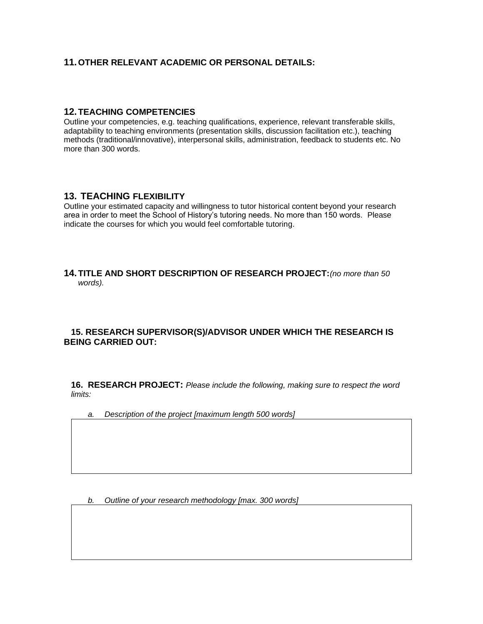### **11.OTHER RELEVANT ACADEMIC OR PERSONAL DETAILS:**

### **12.TEACHING COMPETENCIES**

Outline your competencies, e.g. teaching qualifications, experience, relevant transferable skills, adaptability to teaching environments (presentation skills, discussion facilitation etc.), teaching methods (traditional/innovative), interpersonal skills, administration, feedback to students etc. No more than 300 words.

### **13. TEACHING FLEXIBILITY**

Outline your estimated capacity and willingness to tutor historical content beyond your research area in order to meet the School of History's tutoring needs. No more than 150 words. Please indicate the courses for which you would feel comfortable tutoring.

### **14.TITLE AND SHORT DESCRIPTION OF RESEARCH PROJECT:***(no more than 50 words).*

### **15. RESEARCH SUPERVISOR(S)/ADVISOR UNDER WHICH THE RESEARCH IS BEING CARRIED OUT:**

**16. RESEARCH PROJECT:** *Please include the following, making sure to respect the word limits:*

*a. Description of the project [maximum length 500 words]*

*b. Outline of your research methodology [max. 300 words]*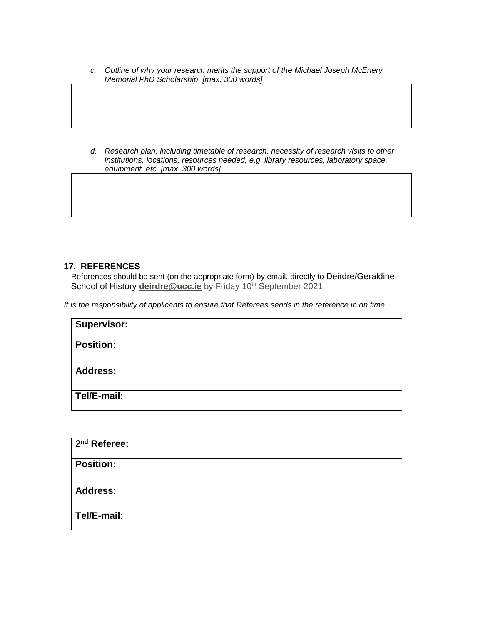*c. Outline of why your research merits the support of the Michael Joseph McEnery Memorial PhD Scholarship [max. 300 words]*

*d. Research plan, including timetable of research, necessity of research visits to other institutions, locations, resources needed, e.g. library resources, laboratory space, equipment, etc. [max. 300 words]*

### **17. REFERENCES**

References should be sent (on the appropriate form) by email, directly to Deirdre/Geraldine, School of History [deirdre@ucc.ie](mailto:deirdre@ucc.ie) by Friday 10<sup>th</sup> September 2021.

*It is the responsibility of applicants to ensure that Referees sends in the reference in on time.*

| <b>Supervisor:</b> |  |  |
|--------------------|--|--|
| <b>Position:</b>   |  |  |
| <b>Address:</b>    |  |  |
| Tel/E-mail:        |  |  |

| $\sqrt{2^{nd}}$ Referee: |  |  |
|--------------------------|--|--|
| <b>Position:</b>         |  |  |
| <b>Address:</b>          |  |  |
| Tel/E-mail:              |  |  |